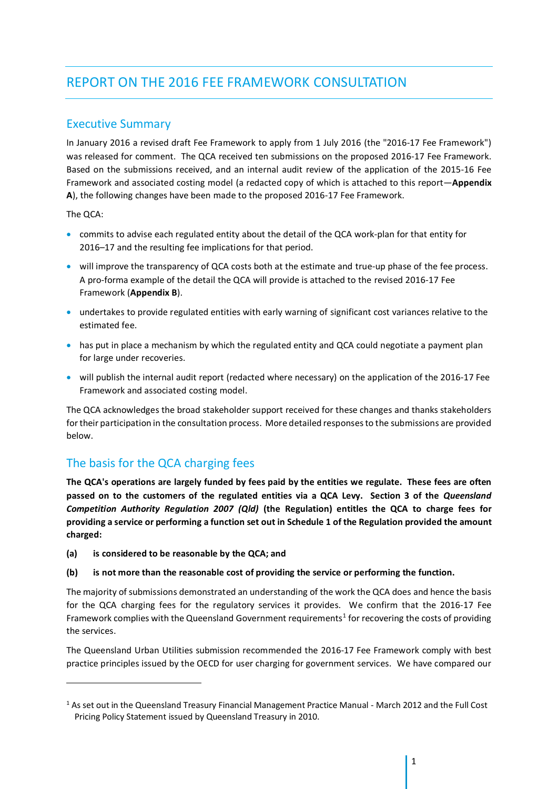# REPORT ON THE 2016 FEE FRAMEWORK CONSULTATION

### Executive Summary

In January 2016 a revised draft Fee Framework to apply from 1 July 2016 (the "2016-17 Fee Framework") was released for comment. The QCA received ten submissions on the proposed 2016-17 Fee Framework. Based on the submissions received, and an internal audit review of the application of the 2015-16 Fee Framework and associated costing model (a redacted copy of which is attached to this report—**Appendix A**), the following changes have been made to the proposed 2016-17 Fee Framework.

The QCA:

 $\overline{a}$ 

- commits to advise each regulated entity about the detail of the QCA work-plan for that entity for 2016–17 and the resulting fee implications for that period.
- will improve the transparency of QCA costs both at the estimate and true-up phase of the fee process. A pro-forma example of the detail the QCA will provide is attached to the revised 2016-17 Fee Framework (**Appendix B**).
- undertakes to provide regulated entities with early warning of significant cost variances relative to the estimated fee.
- has put in place a mechanism by which the regulated entity and QCA could negotiate a payment plan for large under recoveries.
- will publish the internal audit report (redacted where necessary) on the application of the 2016-17 Fee Framework and associated costing model.

The QCA acknowledges the broad stakeholder support received for these changes and thanks stakeholders for their participation in the consultation process. More detailed responsesto the submissions are provided below.

# The basis for the QCA charging fees

**The QCA's operations are largely funded by fees paid by the entities we regulate. These fees are often passed on to the customers of the regulated entities via a QCA Levy. Section 3 of the** *Queensland Competition Authority Regulation 2007 (Qld)* **(the Regulation) entitles the QCA to charge fees for providing a service or performing a function set out in Schedule 1 of the Regulation provided the amount charged:**

- **(a) is considered to be reasonable by the QCA; and**
- **(b) is not more than the reasonable cost of providing the service or performing the function.**

The majority of submissions demonstrated an understanding of the work the QCA does and hence the basis for the QCA charging fees for the regulatory services it provides. We confirm that the 2016-17 Fee Framework complies with the Queensland Government requirements<sup>1</sup> for recovering the costs of providing the services.

The Queensland Urban Utilities submission recommended the 2016-17 Fee Framework comply with best practice principles issued by the OECD for user charging for government services. We have compared our

<sup>1</sup> As set out in the Queensland Treasury Financial Management Practice Manual - March 2012 and the Full Cost Pricing Policy Statement issued by Queensland Treasury in 2010.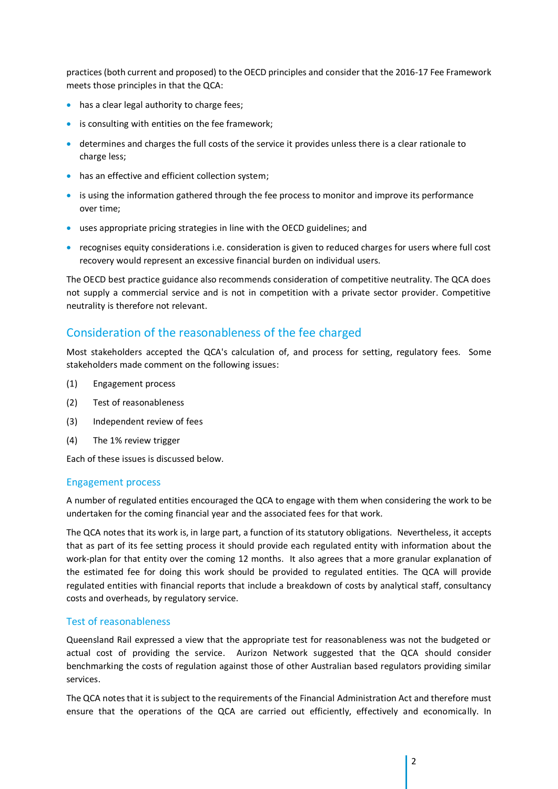practices (both current and proposed) to the OECD principles and consider that the 2016-17 Fee Framework meets those principles in that the QCA:

- has a clear legal authority to charge fees;
- is consulting with entities on the fee framework;
- determines and charges the full costs of the service it provides unless there is a clear rationale to charge less;
- has an effective and efficient collection system;
- is using the information gathered through the fee process to monitor and improve its performance over time;
- uses appropriate pricing strategies in line with the OECD guidelines; and
- recognises equity considerations i.e. consideration is given to reduced charges for users where full cost recovery would represent an excessive financial burden on individual users.

The OECD best practice guidance also recommends consideration of competitive neutrality. The QCA does not supply a commercial service and is not in competition with a private sector provider. Competitive neutrality is therefore not relevant.

### Consideration of the reasonableness of the fee charged

Most stakeholders accepted the QCA's calculation of, and process for setting, regulatory fees. Some stakeholders made comment on the following issues:

- (1) Engagement process
- (2) Test of reasonableness
- (3) Independent review of fees
- (4) The 1% review trigger

Each of these issues is discussed below.

#### Engagement process

A number of regulated entities encouraged the QCA to engage with them when considering the work to be undertaken for the coming financial year and the associated fees for that work.

The QCA notes that its work is, in large part, a function of its statutory obligations. Nevertheless, it accepts that as part of its fee setting process it should provide each regulated entity with information about the work-plan for that entity over the coming 12 months. It also agrees that a more granular explanation of the estimated fee for doing this work should be provided to regulated entities. The QCA will provide regulated entities with financial reports that include a breakdown of costs by analytical staff, consultancy costs and overheads, by regulatory service.

#### Test of reasonableness

Queensland Rail expressed a view that the appropriate test for reasonableness was not the budgeted or actual cost of providing the service. Aurizon Network suggested that the QCA should consider benchmarking the costs of regulation against those of other Australian based regulators providing similar services.

The QCA notes that it issubject to the requirements of the Financial Administration Act and therefore must ensure that the operations of the QCA are carried out efficiently, effectively and economically. In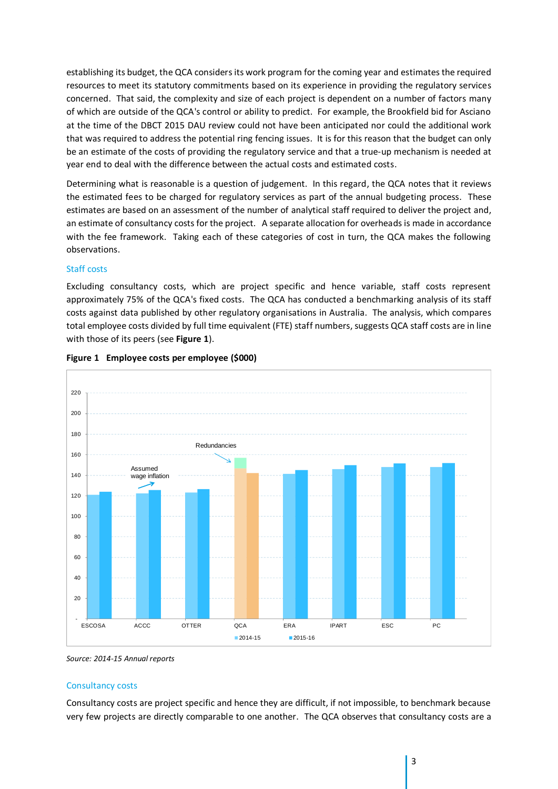establishing its budget, the QCA considers its work program for the coming year and estimates the required resources to meet its statutory commitments based on its experience in providing the regulatory services concerned. That said, the complexity and size of each project is dependent on a number of factors many of which are outside of the QCA's control or ability to predict. For example, the Brookfield bid for Asciano at the time of the DBCT 2015 DAU review could not have been anticipated nor could the additional work that was required to address the potential ring fencing issues. It is for this reason that the budget can only be an estimate of the costs of providing the regulatory service and that a true-up mechanism is needed at year end to deal with the difference between the actual costs and estimated costs.

Determining what is reasonable is a question of judgement. In this regard, the QCA notes that it reviews the estimated fees to be charged for regulatory services as part of the annual budgeting process. These estimates are based on an assessment of the number of analytical staff required to deliver the project and, an estimate of consultancy costs for the project. A separate allocation for overheads is made in accordance with the fee framework. Taking each of these categories of cost in turn, the QCA makes the following observations.

#### Staff costs

Excluding consultancy costs, which are project specific and hence variable, staff costs represent approximately 75% of the QCA's fixed costs. The QCA has conducted a benchmarking analysis of its staff costs against data published by other regulatory organisations in Australia. The analysis, which compares total employee costs divided by full time equivalent (FTE) staff numbers, suggests QCA staff costs are in line with those of its peers (see **Figure 1**).





*Source: 2014-15 Annual reports*

#### Consultancy costs

Consultancy costs are project specific and hence they are difficult, if not impossible, to benchmark because very few projects are directly comparable to one another. The QCA observes that consultancy costs are a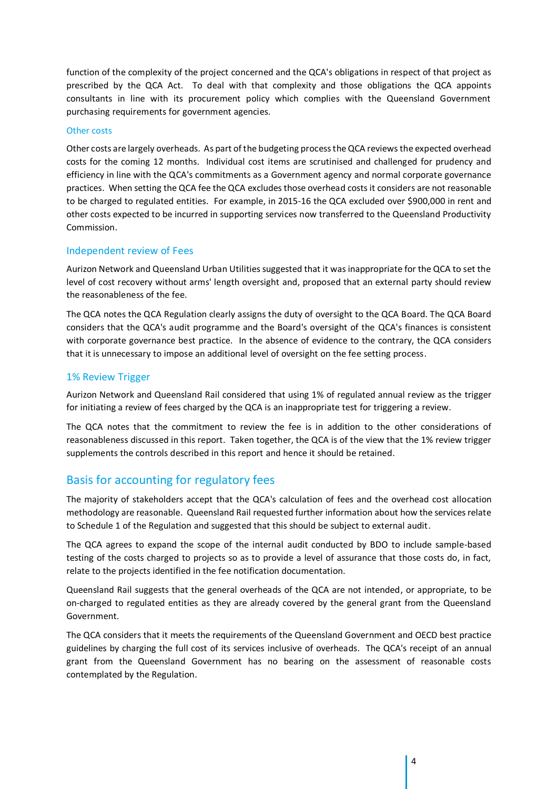function of the complexity of the project concerned and the QCA's obligations in respect of that project as prescribed by the QCA Act. To deal with that complexity and those obligations the QCA appoints consultants in line with its procurement policy which complies with the Queensland Government purchasing requirements for government agencies.

#### Other costs

Other costs are largely overheads. As part of the budgeting processthe QCA reviews the expected overhead costs for the coming 12 months. Individual cost items are scrutinised and challenged for prudency and efficiency in line with the QCA's commitments as a Government agency and normal corporate governance practices. When setting the QCA fee the QCA excludes those overhead costs it considers are not reasonable to be charged to regulated entities. For example, in 2015-16 the QCA excluded over \$900,000 in rent and other costs expected to be incurred in supporting services now transferred to the Queensland Productivity Commission.

#### Independent review of Fees

Aurizon Network and Queensland Urban Utilities suggested that it was inappropriate for the QCA to set the level of cost recovery without arms' length oversight and, proposed that an external party should review the reasonableness of the fee.

The QCA notes the QCA Regulation clearly assigns the duty of oversight to the QCA Board. The QCA Board considers that the QCA's audit programme and the Board's oversight of the QCA's finances is consistent with corporate governance best practice. In the absence of evidence to the contrary, the QCA considers that it is unnecessary to impose an additional level of oversight on the fee setting process.

#### 1% Review Trigger

Aurizon Network and Queensland Rail considered that using 1% of regulated annual review as the trigger for initiating a review of fees charged by the QCA is an inappropriate test for triggering a review.

The QCA notes that the commitment to review the fee is in addition to the other considerations of reasonableness discussed in this report. Taken together, the QCA is of the view that the 1% review trigger supplements the controls described in this report and hence it should be retained.

### Basis for accounting for regulatory fees

The majority of stakeholders accept that the QCA's calculation of fees and the overhead cost allocation methodology are reasonable. Queensland Rail requested further information about how the services relate to Schedule 1 of the Regulation and suggested that this should be subject to external audit.

The QCA agrees to expand the scope of the internal audit conducted by BDO to include sample-based testing of the costs charged to projects so as to provide a level of assurance that those costs do, in fact, relate to the projects identified in the fee notification documentation.

Queensland Rail suggests that the general overheads of the QCA are not intended, or appropriate, to be on-charged to regulated entities as they are already covered by the general grant from the Queensland Government.

The QCA considers that it meets the requirements of the Queensland Government and OECD best practice guidelines by charging the full cost of its services inclusive of overheads. The QCA's receipt of an annual grant from the Queensland Government has no bearing on the assessment of reasonable costs contemplated by the Regulation.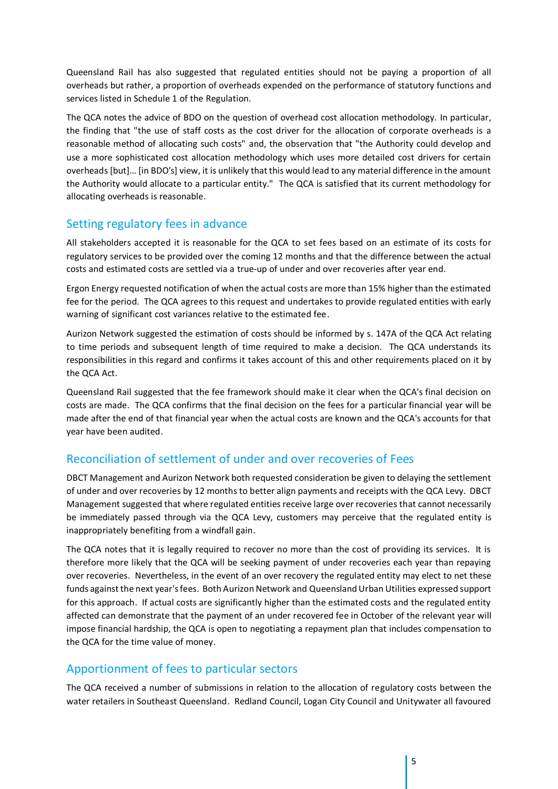Queensland Rail has also suggested that regulated entities should not be paying a proportion of all overheads but rather, a proportion of overheads expended on the performance of statutory functions and services listed in Schedule 1 of the Regulation.

The QCA notes the advice of BDO on the question of overhead cost allocation methodology. In particular, the finding that "the use of staff costs as the cost driver for the allocation of corporate overheads is a reasonable method of allocating such costs" and, the observation that "the Authority could develop and use a more sophisticated cost allocation methodology which uses more detailed cost drivers for certain overheads [but]… [in BDO's] view, it is unlikely that this would lead to any material difference in the amount the Authority would allocate to a particular entity." The QCA is satisfied that its current methodology for allocating overheads is reasonable.

## Setting regulatory fees in advance

All stakeholders accepted it is reasonable for the QCA to set fees based on an estimate of its costs for regulatory services to be provided over the coming 12 months and that the difference between the actual costs and estimated costs are settled via a true-up of under and over recoveries after year end.

Ergon Energy requested notification of when the actual costs are more than 15% higher than the estimated fee for the period. The QCA agrees to this request and undertakes to provide regulated entities with early warning of significant cost variances relative to the estimated fee.

Aurizon Network suggested the estimation of costs should be informed by s. 147A of the QCA Act relating to time periods and subsequent length of time required to make a decision. The QCA understands its responsibilities in this regard and confirms it takes account of this and other requirements placed on it by the QCA Act.

Queensland Rail suggested that the fee framework should make it clear when the QCA's final decision on costs are made. The QCA confirms that the final decision on the fees for a particular financial year will be made after the end of that financial year when the actual costs are known and the QCA's accounts for that year have been audited.

# Reconciliation of settlement of under and over recoveries of Fees

DBCT Management and Aurizon Network both requested consideration be given to delaying the settlement of under and over recoveries by 12 months to better align payments and receipts with the QCA Levy. DBCT Management suggested that where regulated entities receive large over recoveries that cannot necessarily be immediately passed through via the QCA Levy, customers may perceive that the regulated entity is inappropriately benefiting from a windfall gain.

The QCA notes that it is legally required to recover no more than the cost of providing its services. It is therefore more likely that the QCA will be seeking payment of under recoveries each year than repaying over recoveries. Nevertheless, in the event of an over recovery the regulated entity may elect to net these funds against the next year's fees. Both Aurizon Network and Queensland Urban Utilities expressed support for this approach. If actual costs are significantly higher than the estimated costs and the regulated entity affected can demonstrate that the payment of an under recovered fee in October of the relevant year will impose financial hardship, the QCA is open to negotiating a repayment plan that includes compensation to the QCA for the time value of money.

### Apportionment of fees to particular sectors

The QCA received a number of submissions in relation to the allocation of regulatory costs between the water retailers in Southeast Queensland. Redland Council, Logan City Council and Unitywater all favoured